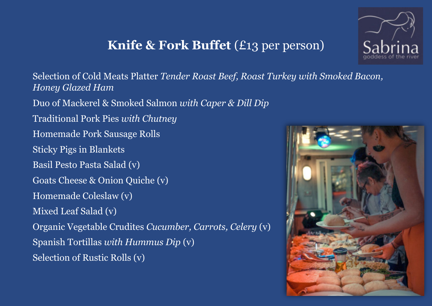## **Knife & Fork Buffet** (£13 per person)



 Spanish Tortillas *with Hummus Dip* (v) Selection of Cold Meats Platter *Tender Roast Beef, Roast Turkey with Smoked Bacon, Honey Glazed Ham* Duo of Mackerel & Smoked Salmon *with Caper & Dill Dip*  Traditional Pork Pies *with Chutney* Homemade Pork Sausage Rolls Sticky Pigs in Blankets Basil Pesto Pasta Salad (v) Goats Cheese & Onion Quiche (v) Homemade Coleslaw (v) Mixed Leaf Salad (v) Organic Vegetable Crudites *Cucumber, Carrots, Celery* (v) Selection of Rustic Rolls (v)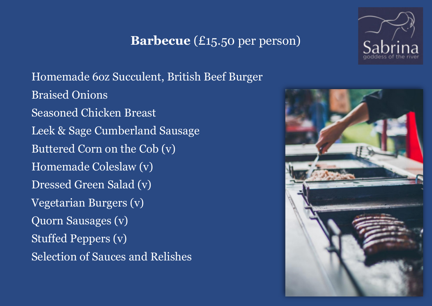### **Barbecue** (£15.50 per person)

 Homemade 6oz Succulent, British Beef Burger Braised Onions Seasoned Chicken Breast Leek & Sage Cumberland Sausage Buttered Corn on the Cob (v) Homemade Coleslaw (v) Dressed Green Salad (v) Vegetarian Burgers (v) Quorn Sausages (v) Stuffed Peppers (v) Selection of Sauces and Relishes



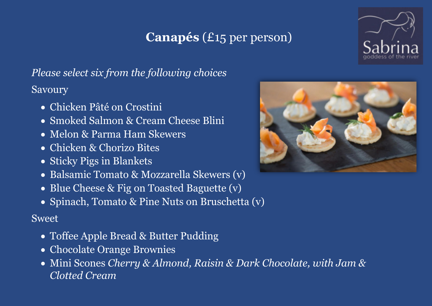# **Canapés** (£15 per person)



*Please select six from the following choices*  Savoury

- Chicken Pâté on Crostini
- Smoked Salmon & Cream Cheese Blini
- Melon & Parma Ham Skewers
- Chicken & Chorizo Bites
- Sticky Pigs in Blankets
- Balsamic Tomato & Mozzarella Skewers (v)
- Blue Cheese & Fig on Toasted Baguette (v)
- Spinach, Tomato & Pine Nuts on Bruschetta (v)

### Sweet

- Toffee Apple Bread & Butter Pudding
- Chocolate Orange Brownies
- Mini Scones *Cherry & Almond, Raisin & Dark Chocolate, with Jam & Clotted Cream*

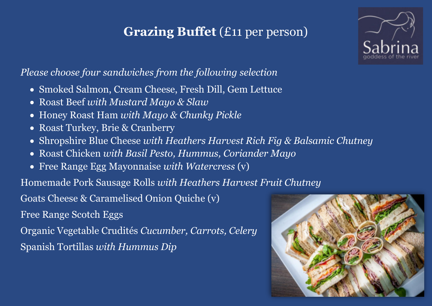# **Grazing Buffet** (£11 per person)



#### *Please choose four sandwiches from the following selection*

- Smoked Salmon, Cream Cheese, Fresh Dill, Gem Lettuce
- Roast Beef *with Mustard Mayo & Slaw*
- Honey Roast Ham *with Mayo & Chunky Pickle*
- Roast Turkey, Brie & Cranberry
- Shropshire Blue Cheese *with Heathers Harvest Rich Fig & Balsamic Chutney*
- Roast Chicken *with Basil Pesto, Hummus, Coriander Mayo*
- Free Range Egg Mayonnaise *with Watercress* (v)

Homemade Pork Sausage Rolls *with Heathers Harvest Fruit Chutney* 

Goats Cheese & Caramelised Onion Quiche (v)

Free Range Scotch Eggs

Organic Vegetable Crudités *Cucumber, Carrots, Celery*  Spanish Tortillas *with Hummus Dip* 

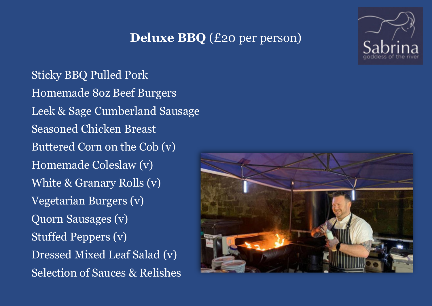### **Deluxe BBQ** (£20 per person)

Sticky BBQ Pulled Pork Homemade 8oz Beef Burgers Leek & Sage Cumberland Sausage Seasoned Chicken Breast Buttered Corn on the Cob (v) Homemade Coleslaw (v) White & Granary Rolls (v) Vegetarian Burgers (v) Quorn Sausages (v) Stuffed Peppers (v) Dressed Mixed Leaf Salad (v) Selection of Sauces & Relishes